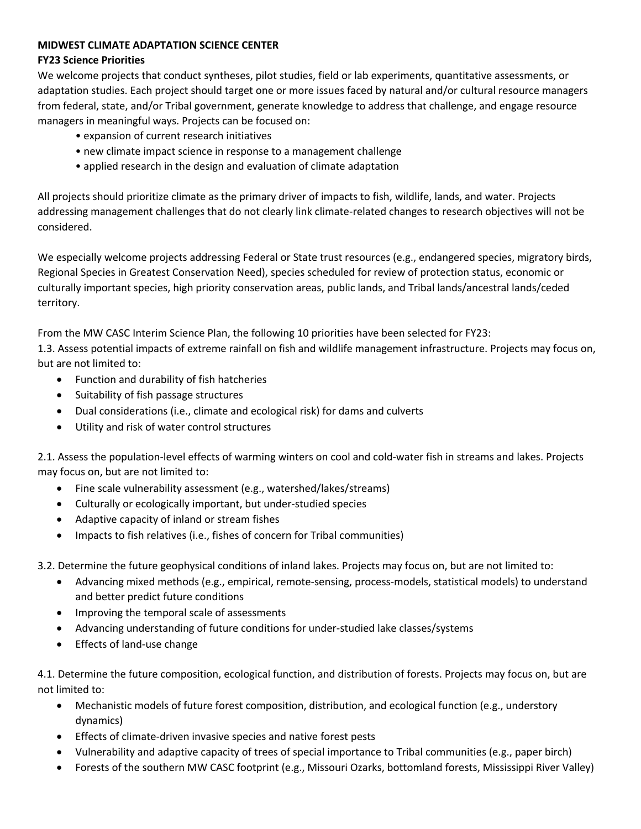## **MIDWEST CLIMATE ADAPTATION SCIENCE CENTER**

## **FY23 Science Priorities**

We welcome projects that conduct syntheses, pilot studies, field or lab experiments, quantitative assessments, or adaptation studies. Each project should target one or more issues faced by natural and/or cultural resource managers from federal, state, and/or Tribal government, generate knowledge to address that challenge, and engage resource managers in meaningful ways. Projects can be focused on:

- expansion of current research initiatives
- new climate impact science in response to a management challenge
- applied research in the design and evaluation of climate adaptation

All projects should prioritize climate as the primary driver of impacts to fish, wildlife, lands, and water. Projects addressing management challenges that do not clearly link climate-related changes to research objectives will not be considered.

We especially welcome projects addressing Federal or State trust resources (e.g., endangered species, migratory birds, Regional Species in Greatest Conservation Need), species scheduled for review of protection status, economic or culturally important species, high priority conservation areas, public lands, and Tribal lands/ancestral lands/ceded territory.

From the MW CASC Interim Science Plan, the following 10 priorities have been selected for FY23:

1.3. Assess potential impacts of extreme rainfall on fish and wildlife management infrastructure. Projects may focus on, but are not limited to:

- Function and durability of fish hatcheries
- Suitability of fish passage structures
- Dual considerations (i.e., climate and ecological risk) for dams and culverts
- Utility and risk of water control structures

2.1. Assess the population-level effects of warming winters on cool and cold-water fish in streams and lakes. Projects may focus on, but are not limited to:

- Fine scale vulnerability assessment (e.g., watershed/lakes/streams)
- Culturally or ecologically important, but under-studied species
- Adaptive capacity of inland or stream fishes
- Impacts to fish relatives (i.e., fishes of concern for Tribal communities)

3.2. Determine the future geophysical conditions of inland lakes. Projects may focus on, but are not limited to:

- Advancing mixed methods (e.g., empirical, remote-sensing, process-models, statistical models) to understand and better predict future conditions
- Improving the temporal scale of assessments
- Advancing understanding of future conditions for under-studied lake classes/systems
- Effects of land-use change

4.1. Determine the future composition, ecological function, and distribution of forests. Projects may focus on, but are not limited to:

- Mechanistic models of future forest composition, distribution, and ecological function (e.g., understory dynamics)
- Effects of climate-driven invasive species and native forest pests
- Vulnerability and adaptive capacity of trees of special importance to Tribal communities (e.g., paper birch)
- Forests of the southern MW CASC footprint (e.g., Missouri Ozarks, bottomland forests, Mississippi River Valley)